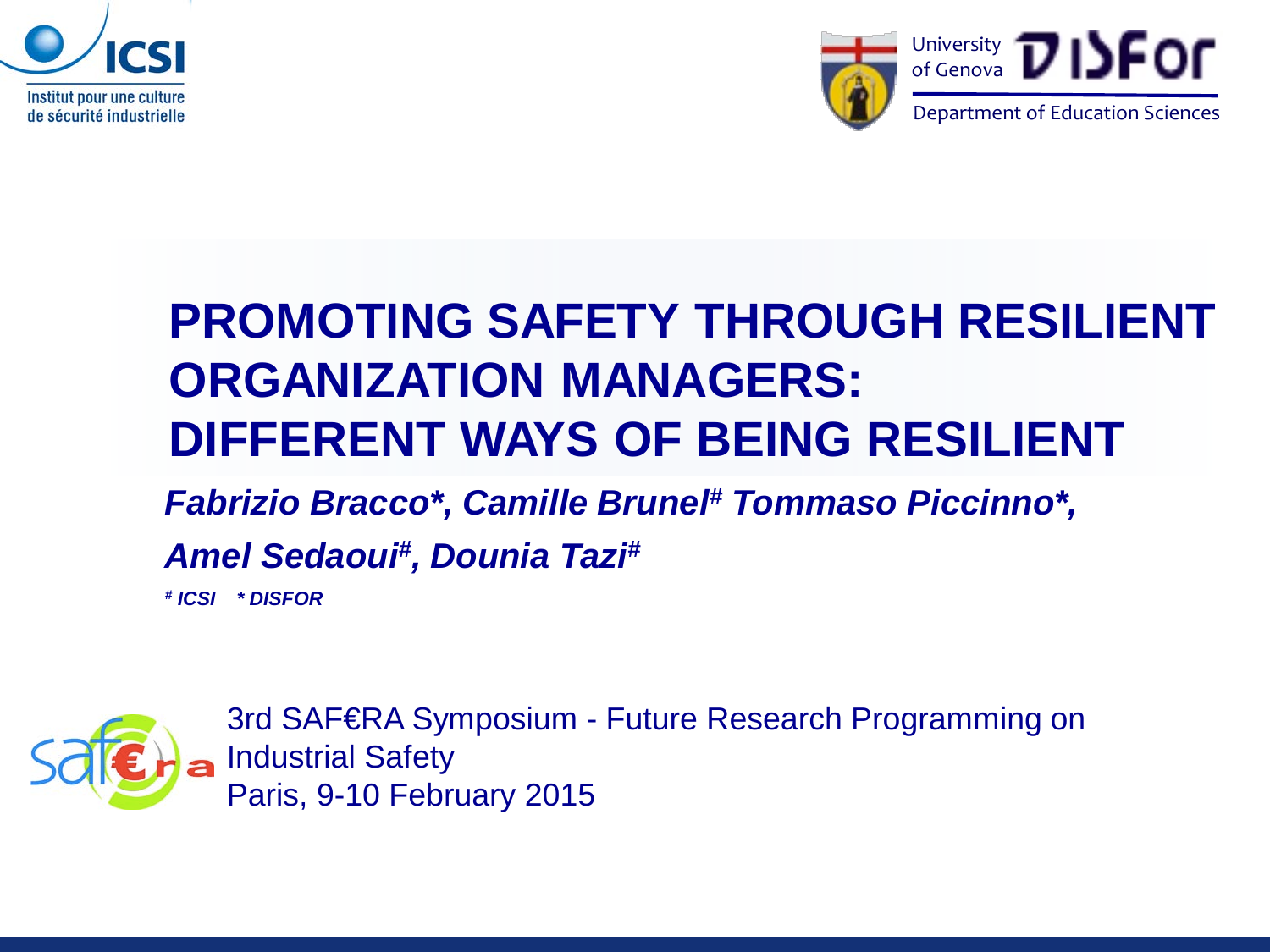



## **PROMOTING SAFETY THROUGH RESILIENT ORGANIZATION MANAGERS: DIFFERENT WAYS OF BEING RESILIENT**

#### *Fabrizio Bracco\*, Camille Brunel# Tommaso Piccinno\*,*

#### *Amel Sedaoui# , Dounia Tazi#*

*# ICSI \* DISFOR*



3rd SAF€RA Symposium - Future Research Programming on Industrial Safety Paris, 9-10 February 2015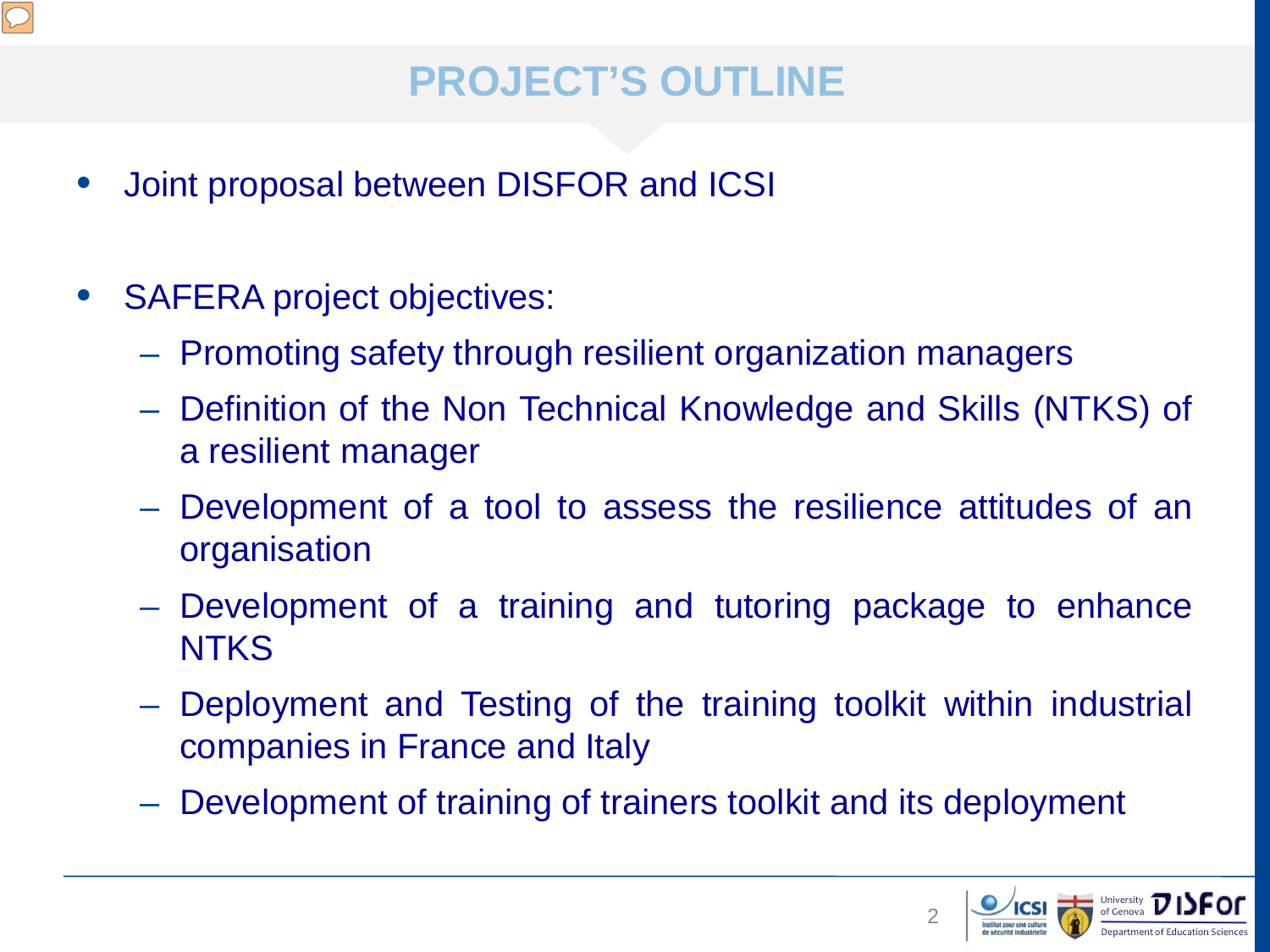

## **PROJECT'S OUTLINE**

- Joint proposal between DISFOR and ICSI
- **SAFERA project objectives:** 
	- Promoting safety through resilient organization managers
	- Definition of the Non Technical Knowledge and Skills (NTKS) of a resilient manager
	- Development of a tool to assess the resilience attitudes of an organisation
	- Development of a training and tutoring package to enhance **NTKS**
	- Deployment and Testing of the training toolkit within industrial companies in France and Italy
	- Development of training of trainers toolkit and its deployment

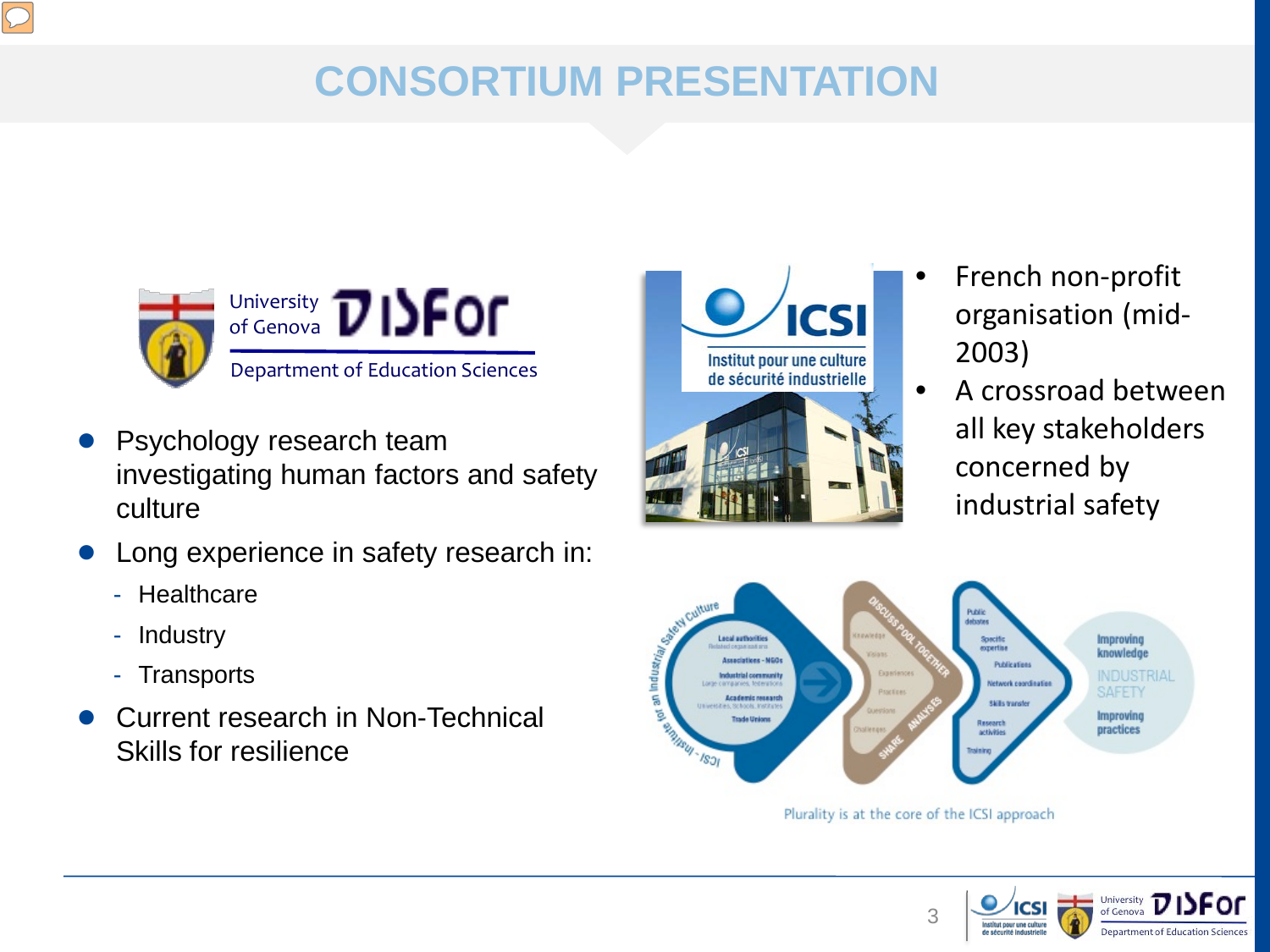

## **CONSORTIUM PRESENTATION**



- Psychology research team investigating human factors and safety culture
- Long experience in safety research in:
	- Healthcare
	- Industry
	- Transports
- Current research in Non-Technical Skills for resilience



- French non-profit organisation (mid-2003)
- A crossroad between all key stakeholders concerned by industrial safety



Plurality is at the core of the ICSI approach

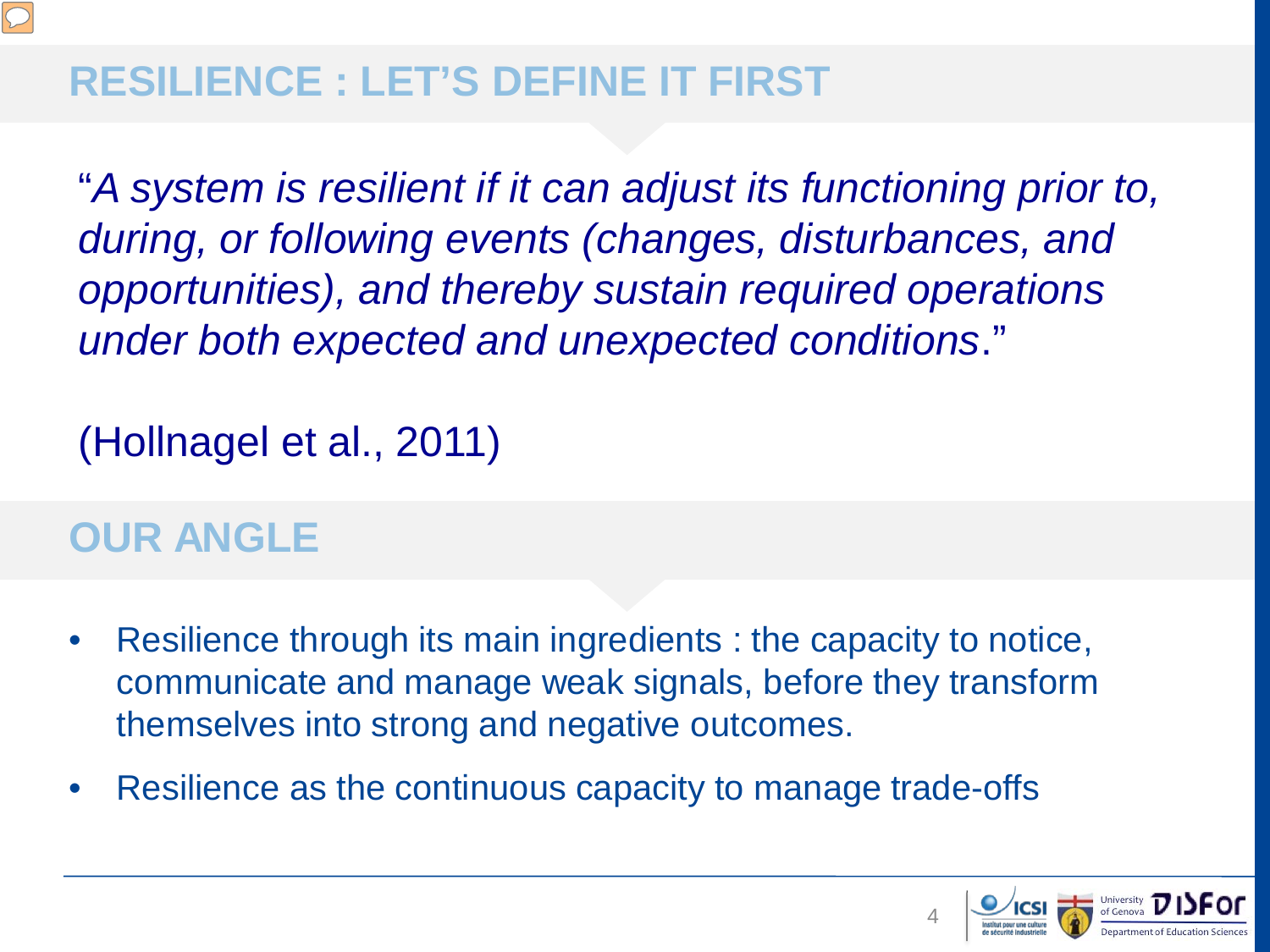

### **RESILIENCE : LET'S DEFINE IT FIRST**

"*A system is resilient if it can adjust its functioning prior to, during, or following events (changes, disturbances, and opportunities), and thereby sustain required operations under both expected and unexpected conditions*."

(Hollnagel et al., 2011)

#### **OUR ANGLE**

- Resilience through its main ingredients : the capacity to notice, communicate and manage weak signals, before they transform themselves into strong and negative outcomes.
- Resilience as the continuous capacity to manage trade-offs

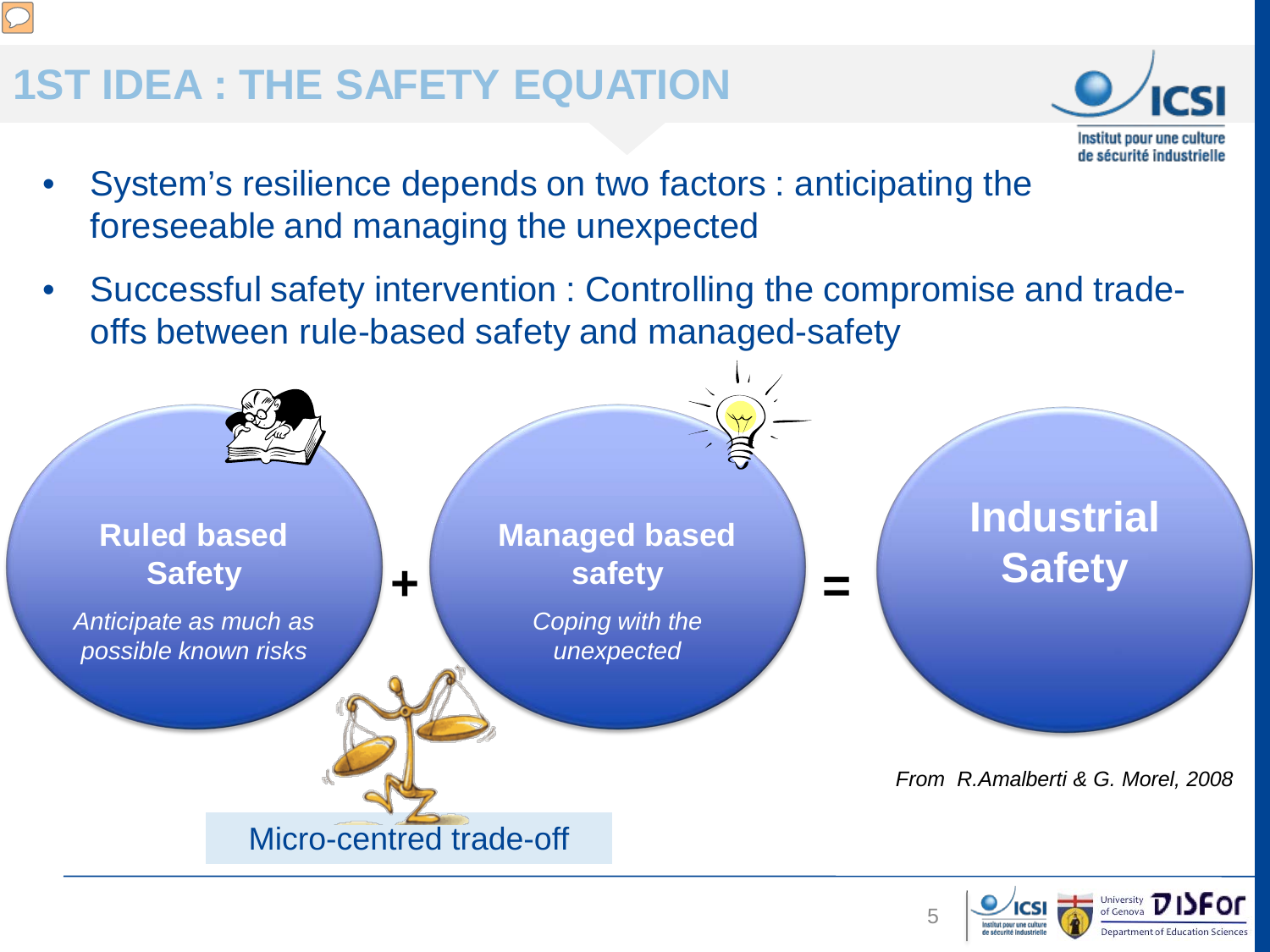### **1ST IDEA : THE SAFETY EQUATION**



- System's resilience depends on two factors : anticipating the foreseeable and managing the unexpected
- Successful safety intervention : Controlling the compromise and tradeoffs between rule-based safety and managed-safety





5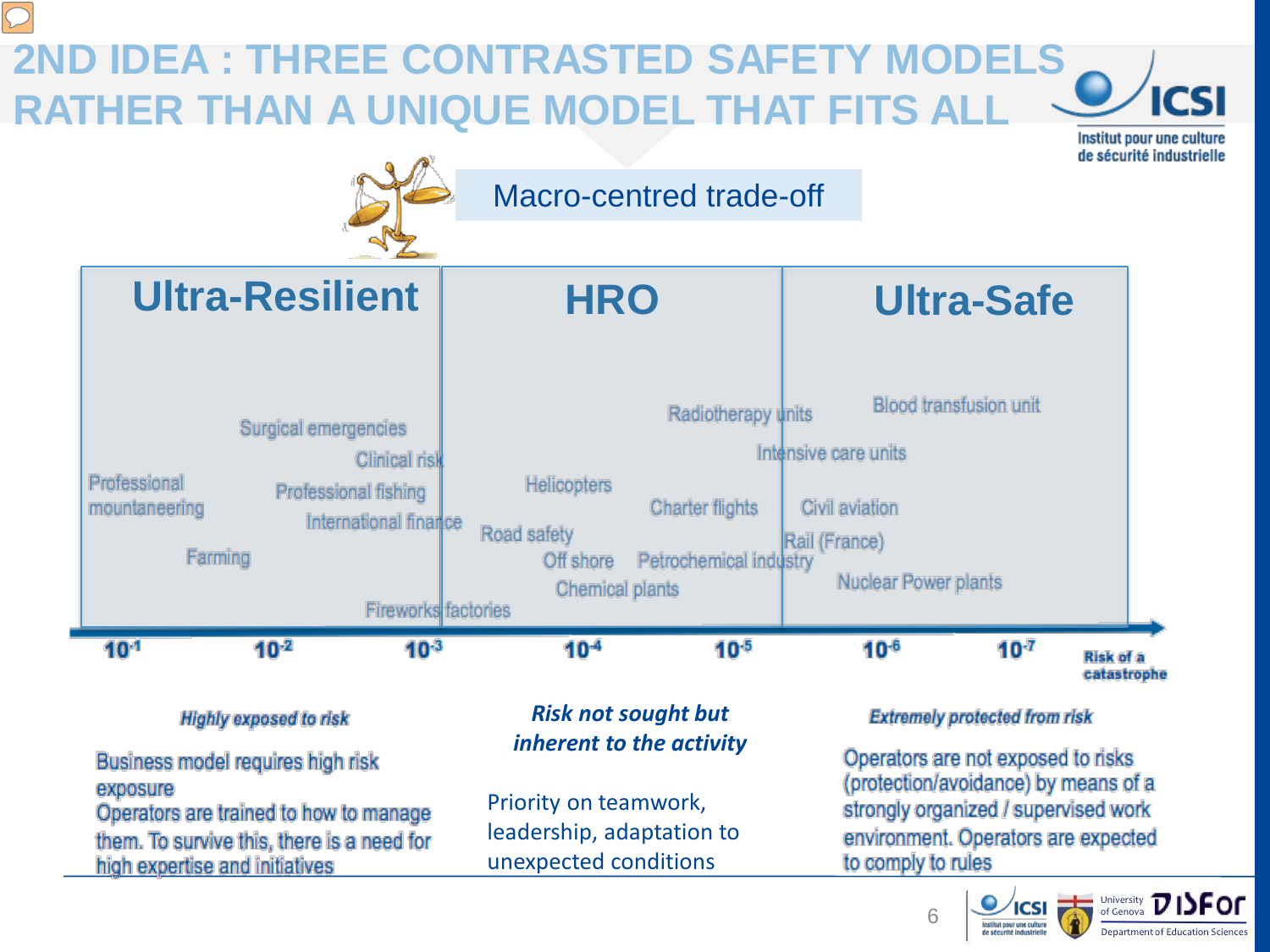#### **2ND IDEA : THREE CONTRASTED SAFETY MODELS ICSI RATHER THAN A UNIQUE MODEL THAT FITS ALL**

Institut pour une culture de sécurité industrielle





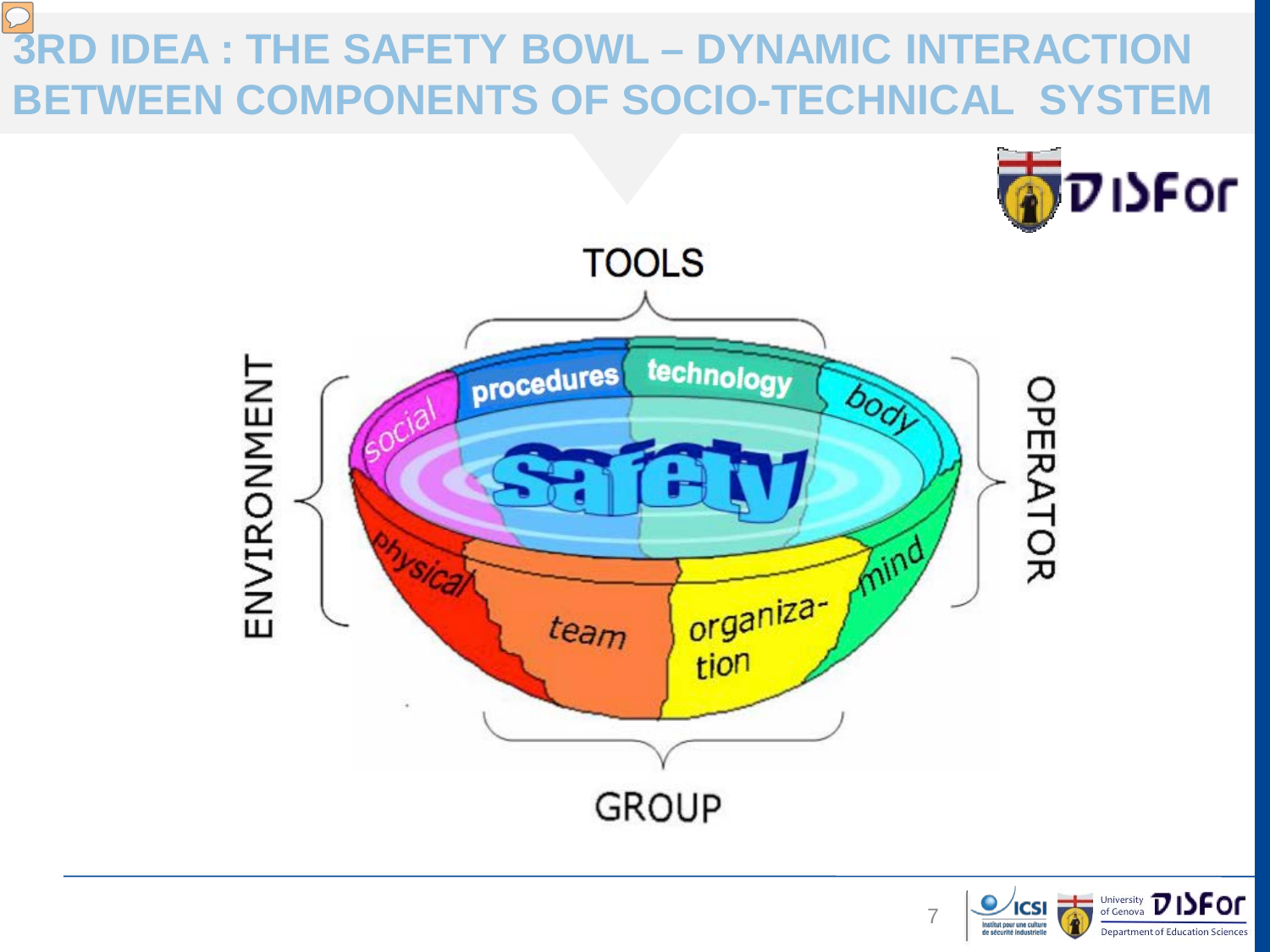# **3RD IDEA : THE SAFETY BOWL – DYNAMIC INTERACTION BETWEEN COMPONENTS OF SOCIO-TECHNICAL SYSTEM**



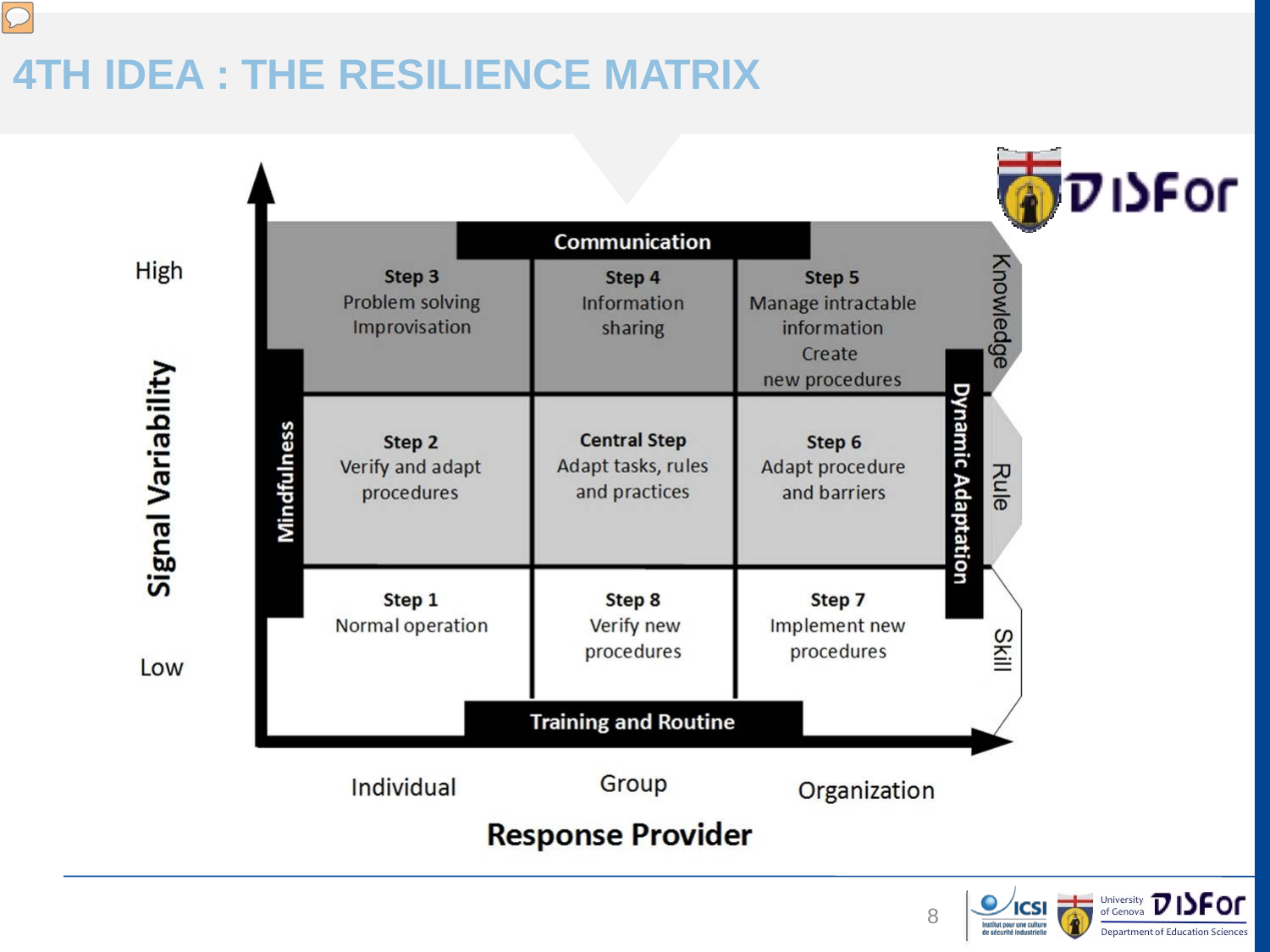## **4TH IDEA : THE RESILIENCE MATRIX**

 $\sqrt{2}$ 





8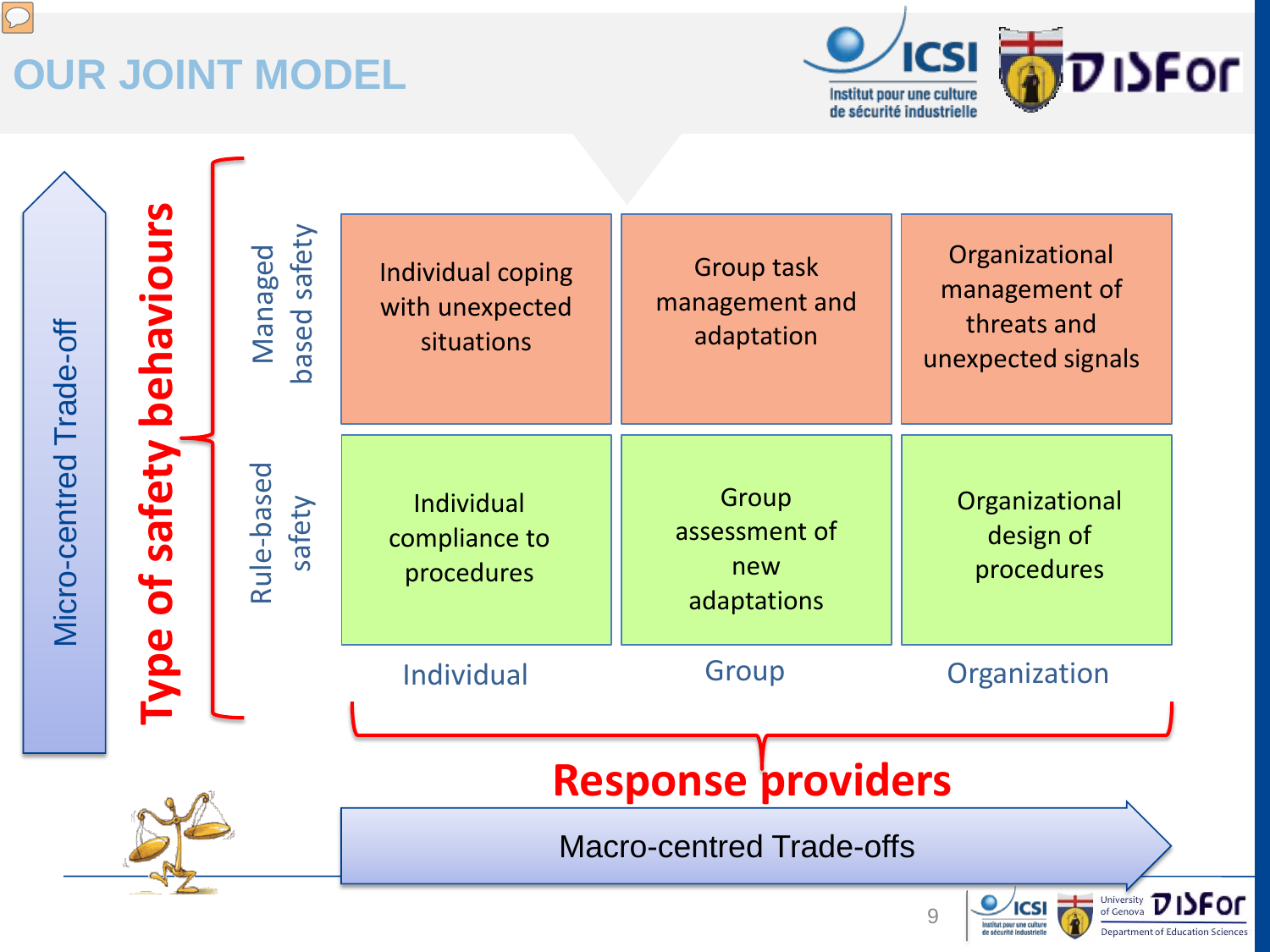# **OUR JOINT MODEL**



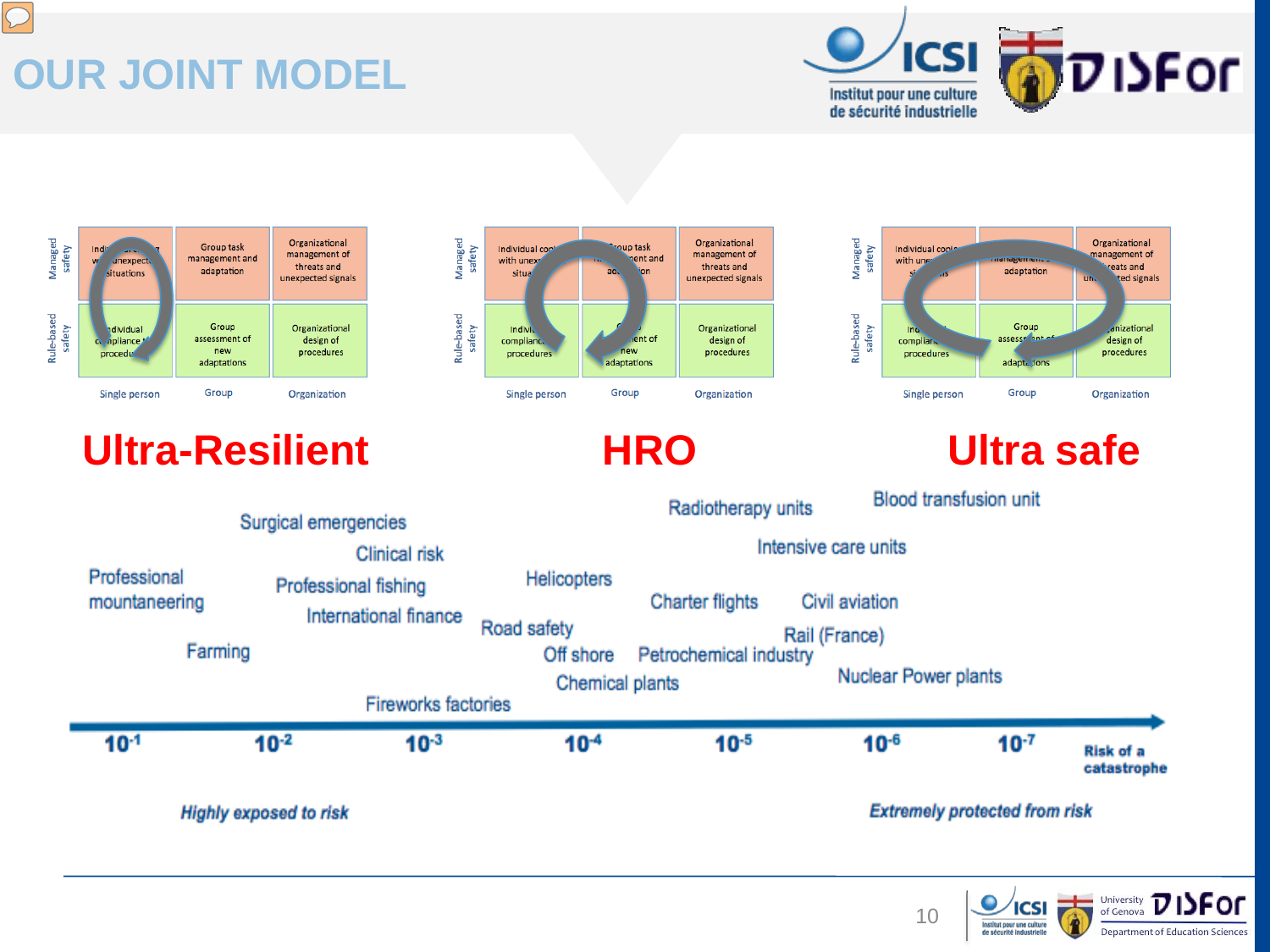# **OUR JOINT MODEL**

 $\overline{C}$ 









### **Ultra-Resilient HRO Ultra safe**



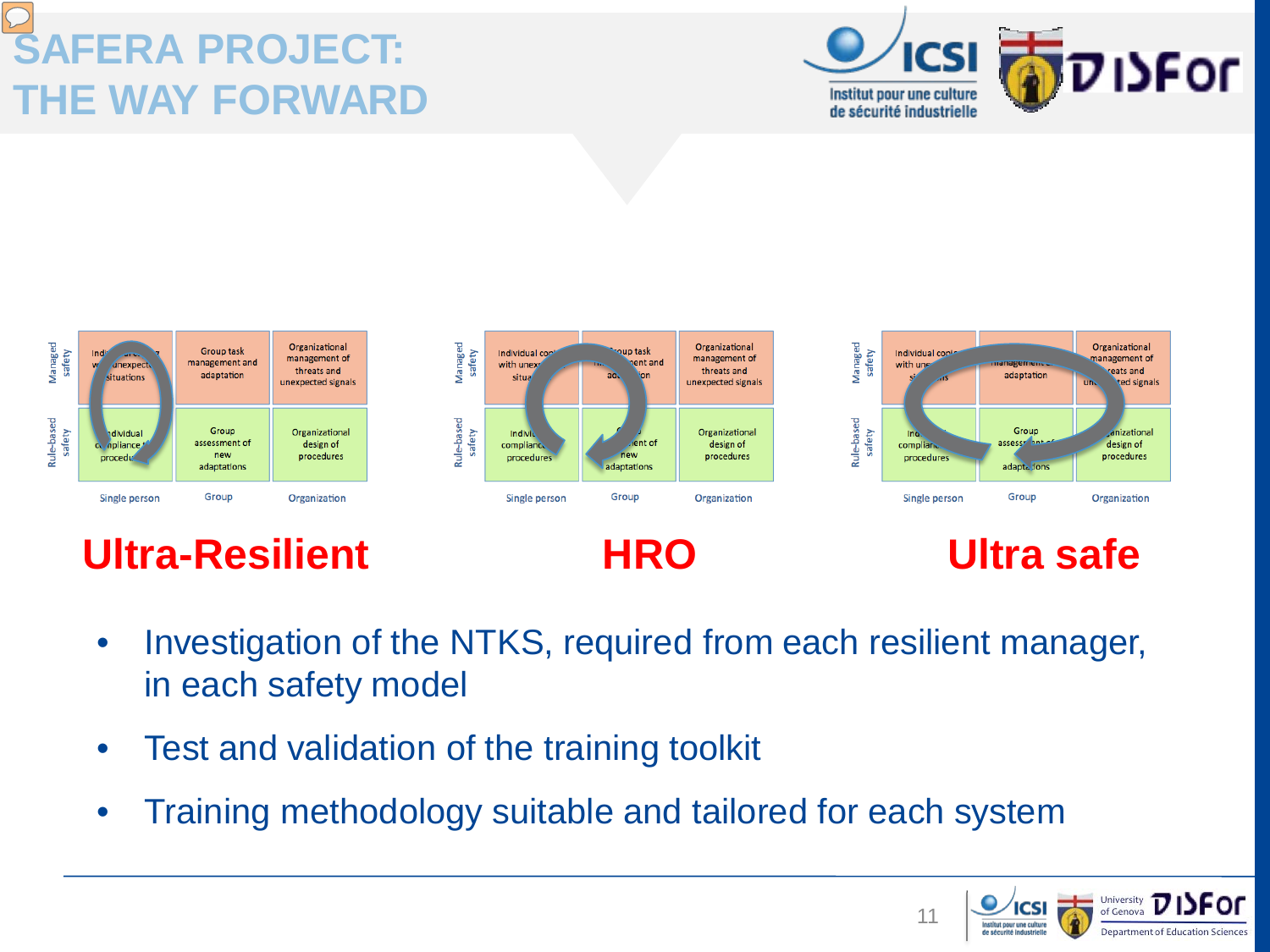# **SAFERA PROJECT: THE WAY FORWARD**





- Investigation of the NTKS, required from each resilient manager, in each safety model
- Test and validation of the training toolkit
- Training methodology suitable and tailored for each system